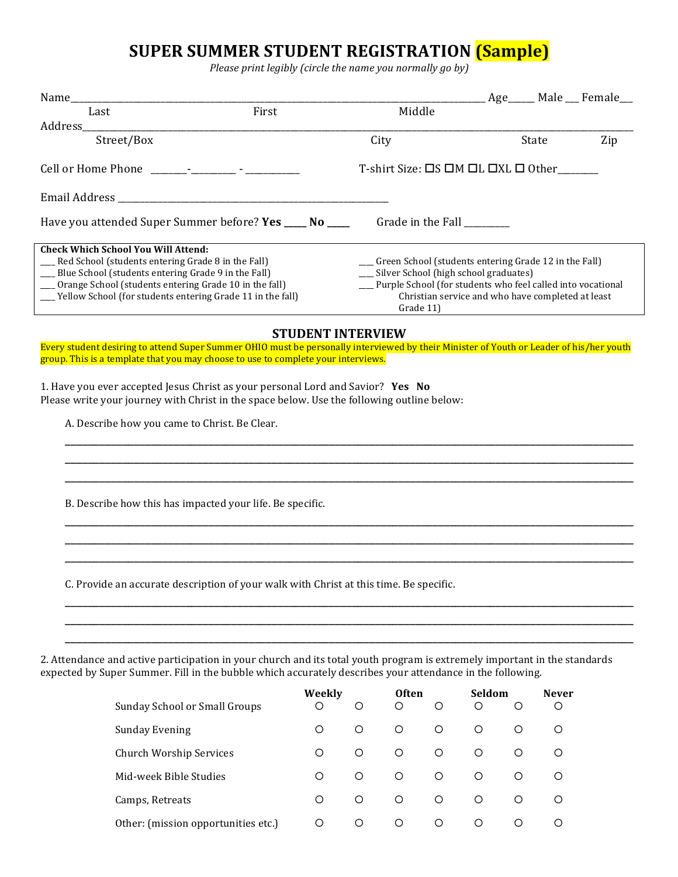## **SUPER SUMMER STUDENT REGISTRATION (Sample)**

Please print legibly (circle the name you normally go by)

|                                                                                                                                                                                                                                                                                                                                                                                                                                                                |           |                                                                                                                                                                                                                             |       | Age_____ Male __ Female__ |  |  |  |
|----------------------------------------------------------------------------------------------------------------------------------------------------------------------------------------------------------------------------------------------------------------------------------------------------------------------------------------------------------------------------------------------------------------------------------------------------------------|-----------|-----------------------------------------------------------------------------------------------------------------------------------------------------------------------------------------------------------------------------|-------|---------------------------|--|--|--|
| Last                                                                                                                                                                                                                                                                                                                                                                                                                                                           | First     | Middle                                                                                                                                                                                                                      |       |                           |  |  |  |
| Street/Box                                                                                                                                                                                                                                                                                                                                                                                                                                                     |           | City                                                                                                                                                                                                                        | State | Zip                       |  |  |  |
|                                                                                                                                                                                                                                                                                                                                                                                                                                                                |           | T-shirt Size: $\Box$ S $\Box$ M $\Box$ L $\Box$ XL $\Box$ Other______                                                                                                                                                       |       |                           |  |  |  |
|                                                                                                                                                                                                                                                                                                                                                                                                                                                                |           |                                                                                                                                                                                                                             |       |                           |  |  |  |
| Have you attended Super Summer before? Yes _____ No ____                                                                                                                                                                                                                                                                                                                                                                                                       |           | Grade in the Fall ________                                                                                                                                                                                                  |       |                           |  |  |  |
| <b>Check Which School You Will Attend:</b><br>__ Red School (students entering Grade 8 in the Fall)<br>__ Blue School (students entering Grade 9 in the Fall)<br>__ Orange School (students entering Grade 10 in the fall)<br>__ Yellow School (for students entering Grade 11 in the fall)                                                                                                                                                                    | Grade 11) | __ Green School (students entering Grade 12 in the Fall)<br>__ Silver School (high school graduates)<br>__ Purple School (for students who feel called into vocational<br>Christian service and who have completed at least |       |                           |  |  |  |
|                                                                                                                                                                                                                                                                                                                                                                                                                                                                |           | <b>STUDENT INTERVIEW</b>                                                                                                                                                                                                    |       |                           |  |  |  |
| Every student desiring to attend Super Summer OHIO must be personally interviewed by their Minister of Youth or Leader of his/her youth<br>group. This is a template that you may choose to use to complete your interviews.<br>1. Have you ever accepted Jesus Christ as your personal Lord and Savior? Yes No<br>Please write your journey with Christ in the space below. Use the following outline below:<br>A. Describe how you came to Christ. Be Clear. |           |                                                                                                                                                                                                                             |       |                           |  |  |  |
| B. Describe how this has impacted your life. Be specific.                                                                                                                                                                                                                                                                                                                                                                                                      |           |                                                                                                                                                                                                                             |       |                           |  |  |  |
| C. Provide an accurate description of your walk with Christ at this time. Be specific.                                                                                                                                                                                                                                                                                                                                                                         |           |                                                                                                                                                                                                                             |       |                           |  |  |  |
| 2. Attendance and active participation in your church and its total youth program is extremely important in the standards<br>expected by Super Summer. Fill in the bubble which accurately describes your attendance in the following.                                                                                                                                                                                                                         |           |                                                                                                                                                                                                                             |       |                           |  |  |  |

|                                     | Weekly |         | <b>Often</b> |         | Seldom  |   | <b>Never</b> |
|-------------------------------------|--------|---------|--------------|---------|---------|---|--------------|
| Sunday School or Small Groups       | О      | O       | O            | O       | $\circ$ | O | O            |
| Sunday Evening                      | Ο      | $\circ$ | O            | $\circ$ | O       | O | O            |
| Church Worship Services             | Ο      | O       | $\circ$      | $\circ$ | O       | O | O            |
| Mid-week Bible Studies              | ∩      | $\circ$ | $\circ$      | $\circ$ | $\circ$ | ◯ | O            |
| Camps, Retreats                     | ∩      | ◯       | ◯            | $\circ$ | ◯       | ◯ | O            |
| Other: (mission opportunities etc.) | О      | $\circ$ | O            | $\circ$ | $\circ$ | ◯ | O            |